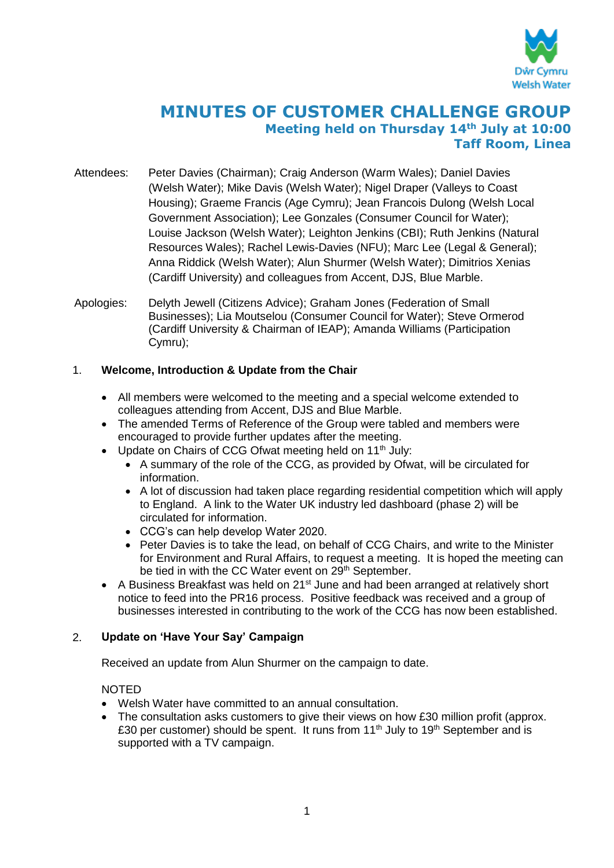

# **MINUTES OF CUSTOMER CHALLENGE GROUP Meeting held on Thursday 14th July at 10:00 Taff Room, Linea**

- Attendees: Peter Davies (Chairman); Craig Anderson (Warm Wales); Daniel Davies (Welsh Water); Mike Davis (Welsh Water); Nigel Draper (Valleys to Coast Housing); Graeme Francis (Age Cymru); Jean Francois Dulong (Welsh Local Government Association); Lee Gonzales (Consumer Council for Water); Louise Jackson (Welsh Water); Leighton Jenkins (CBI); Ruth Jenkins (Natural Resources Wales); Rachel Lewis-Davies (NFU); Marc Lee (Legal & General); Anna Riddick (Welsh Water); Alun Shurmer (Welsh Water); Dimitrios Xenias (Cardiff University) and colleagues from Accent, DJS, Blue Marble.
- Apologies: Delyth Jewell (Citizens Advice); Graham Jones (Federation of Small Businesses); Lia Moutselou (Consumer Council for Water); Steve Ormerod (Cardiff University & Chairman of IEAP); Amanda Williams (Participation Cymru);

# 1. **Welcome, Introduction & Update from the Chair**

- All members were welcomed to the meeting and a special welcome extended to colleagues attending from Accent, DJS and Blue Marble.
- The amended Terms of Reference of the Group were tabled and members were encouraged to provide further updates after the meeting.
- Update on Chairs of CCG Ofwat meeting held on 11<sup>th</sup> July:
	- A summary of the role of the CCG, as provided by Ofwat, will be circulated for information.
	- A lot of discussion had taken place regarding residential competition which will apply to England. A link to the Water UK industry led dashboard (phase 2) will be circulated for information.
	- CCG's can help develop Water 2020.
	- Peter Davies is to take the lead, on behalf of CCG Chairs, and write to the Minister for Environment and Rural Affairs, to request a meeting. It is hoped the meeting can be tied in with the CC Water event on 29<sup>th</sup> September.
- A Business Breakfast was held on 21<sup>st</sup> June and had been arranged at relatively short notice to feed into the PR16 process. Positive feedback was received and a group of businesses interested in contributing to the work of the CCG has now been established.

# 2. **Update on 'Have Your Say' Campaign**

Received an update from Alun Shurmer on the campaign to date.

## **NOTED**

- Welsh Water have committed to an annual consultation.
- The consultation asks customers to give their views on how £30 million profit (approx. £30 per customer) should be spent. It runs from 11<sup>th</sup> July to 19<sup>th</sup> September and is supported with a TV campaign.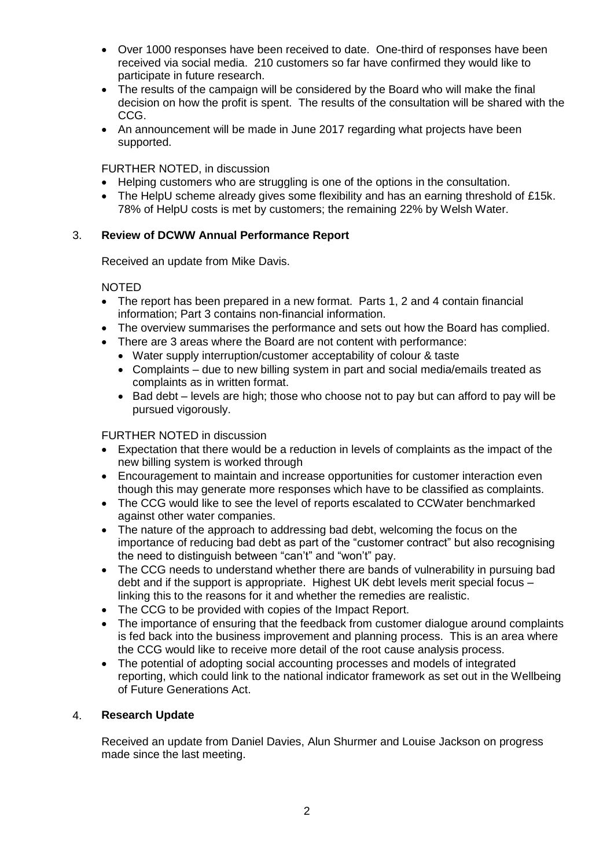- Over 1000 responses have been received to date. One-third of responses have been received via social media. 210 customers so far have confirmed they would like to participate in future research.
- The results of the campaign will be considered by the Board who will make the final decision on how the profit is spent. The results of the consultation will be shared with the CCG.
- An announcement will be made in June 2017 regarding what projects have been supported.

FURTHER NOTED, in discussion

- Helping customers who are struggling is one of the options in the consultation.
- The HelpU scheme already gives some flexibility and has an earning threshold of £15k. 78% of HelpU costs is met by customers; the remaining 22% by Welsh Water.

#### 3. **Review of DCWW Annual Performance Report**

Received an update from Mike Davis.

#### **NOTED**

- The report has been prepared in a new format. Parts 1, 2 and 4 contain financial information; Part 3 contains non-financial information.
- The overview summarises the performance and sets out how the Board has complied.
- There are 3 areas where the Board are not content with performance:
	- Water supply interruption/customer acceptability of colour & taste
	- Complaints due to new billing system in part and social media/emails treated as complaints as in written format.
	- $\bullet$  Bad debt levels are high; those who choose not to pay but can afford to pay will be pursued vigorously.

#### FURTHER NOTED in discussion

- Expectation that there would be a reduction in levels of complaints as the impact of the new billing system is worked through
- Encouragement to maintain and increase opportunities for customer interaction even though this may generate more responses which have to be classified as complaints.
- The CCG would like to see the level of reports escalated to CCWater benchmarked against other water companies.
- The nature of the approach to addressing bad debt, welcoming the focus on the importance of reducing bad debt as part of the "customer contract" but also recognising the need to distinguish between "can't" and "won't" pay.
- The CCG needs to understand whether there are bands of vulnerability in pursuing bad debt and if the support is appropriate. Highest UK debt levels merit special focus – linking this to the reasons for it and whether the remedies are realistic.
- The CCG to be provided with copies of the Impact Report.
- The importance of ensuring that the feedback from customer dialogue around complaints is fed back into the business improvement and planning process. This is an area where the CCG would like to receive more detail of the root cause analysis process.
- The potential of adopting social accounting processes and models of integrated reporting, which could link to the national indicator framework as set out in the Wellbeing of Future Generations Act.

## 4. **Research Update**

Received an update from Daniel Davies, Alun Shurmer and Louise Jackson on progress made since the last meeting.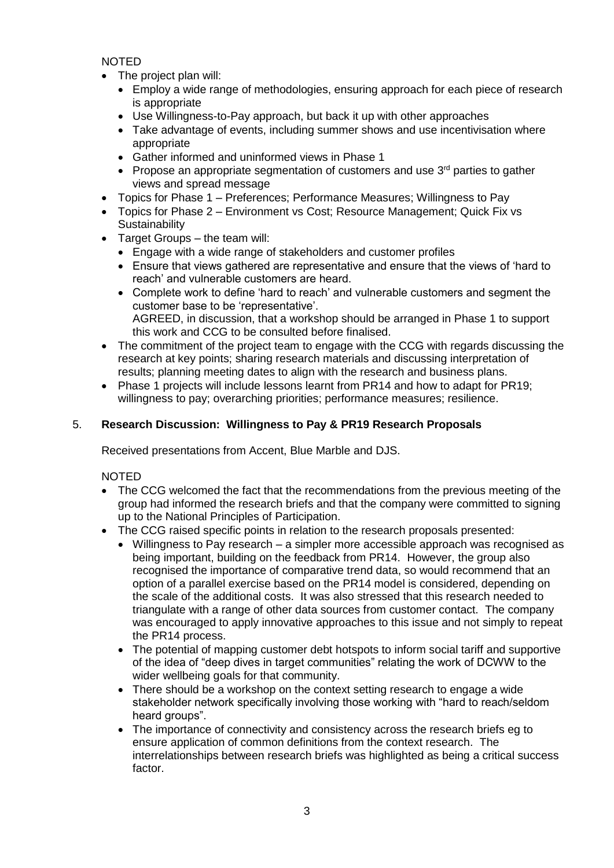NOTED

- The project plan will:
	- Employ a wide range of methodologies, ensuring approach for each piece of research is appropriate
	- Use Willingness-to-Pay approach, but back it up with other approaches
	- Take advantage of events, including summer shows and use incentivisation where appropriate
	- Gather informed and uninformed views in Phase 1
	- Propose an appropriate segmentation of customers and use  $3<sup>rd</sup>$  parties to gather views and spread message
- Topics for Phase 1 Preferences; Performance Measures; Willingness to Pay
- Topics for Phase 2 Environment vs Cost; Resource Management; Quick Fix vs **Sustainability**
- Target Groups the team will:
	- Engage with a wide range of stakeholders and customer profiles
	- Ensure that views gathered are representative and ensure that the views of 'hard to reach' and vulnerable customers are heard.
	- Complete work to define 'hard to reach' and vulnerable customers and segment the customer base to be 'representative'. AGREED, in discussion, that a workshop should be arranged in Phase 1 to support this work and CCG to be consulted before finalised.
- The commitment of the project team to engage with the CCG with regards discussing the research at key points; sharing research materials and discussing interpretation of results; planning meeting dates to align with the research and business plans.
- Phase 1 projects will include lessons learnt from PR14 and how to adapt for PR19; willingness to pay; overarching priorities; performance measures; resilience.

# 5. **Research Discussion: Willingness to Pay & PR19 Research Proposals**

Received presentations from Accent, Blue Marble and DJS.

NOTED

- The CCG welcomed the fact that the recommendations from the previous meeting of the group had informed the research briefs and that the company were committed to signing up to the National Principles of Participation.
- The CCG raised specific points in relation to the research proposals presented:
	- Willingness to Pay research a simpler more accessible approach was recognised as being important, building on the feedback from PR14. However, the group also recognised the importance of comparative trend data, so would recommend that an option of a parallel exercise based on the PR14 model is considered, depending on the scale of the additional costs. It was also stressed that this research needed to triangulate with a range of other data sources from customer contact. The company was encouraged to apply innovative approaches to this issue and not simply to repeat the PR14 process.
	- The potential of mapping customer debt hotspots to inform social tariff and supportive of the idea of "deep dives in target communities" relating the work of DCWW to the wider wellbeing goals for that community.
	- There should be a workshop on the context setting research to engage a wide stakeholder network specifically involving those working with "hard to reach/seldom heard groups".
	- The importance of connectivity and consistency across the research briefs eg to ensure application of common definitions from the context research. The interrelationships between research briefs was highlighted as being a critical success factor.